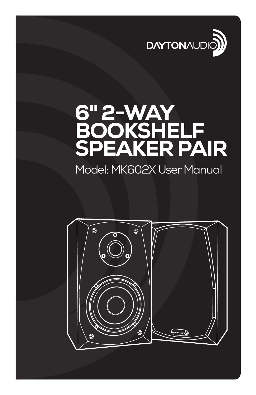

# 6" 2-WAY **BOOKSHELF** SPEAKER PAIR

## Model: MK602X User Manual

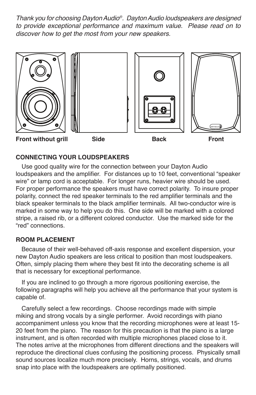*Thank you for choosing Dayton Audio®. Dayton Audio loudspeakers are designed to provide exceptional performance and maximum value. Please read on to discover how to get the most from your new speakers.*



### **CONNECTING YOUR LOUDSPEAKERS**

Use good quality wire for the connection between your Dayton Audio loudspeakers and the amplifier. For distances up to 10 feet, conventional "speaker wire" or lamp cord is acceptable. For longer runs, heavier wire should be used. For proper performance the speakers must have correct polarity. To insure proper polarity, connect the red speaker terminals to the red amplifier terminals and the black speaker terminals to the black amplifier terminals. All two-conductor wire is marked in some way to help you do this. One side will be marked with a colored stripe, a raised rib, or a different colored conductor. Use the marked side for the "red" connections.

#### **ROOM PLACEMENT**

Because of their well-behaved off-axis response and excellent dispersion, your new Dayton Audio speakers are less critical to position than most loudspeakers. Often, simply placing them where they best fit into the decorating scheme is all that is necessary for exceptional performance.

If you are inclined to go through a more rigorous positioning exercise, the following paragraphs will help you achieve all the performance that your system is capable of.

Carefully select a few recordings. Choose recordings made with simple miking and strong vocals by a single performer. Avoid recordings with piano accompaniment unless you know that the recording microphones were at least 15- 20 feet from the piano. The reason for this precaution is that the piano is a large instrument, and is often recorded with multiple microphones placed close to it. The notes arrive at the microphones from different directions and the speakers will reproduce the directional clues confusing the positioning process. Physically small sound sources localize much more precisely. Horns, strings, vocals, and drums snap into place with the loudspeakers are optimally positioned.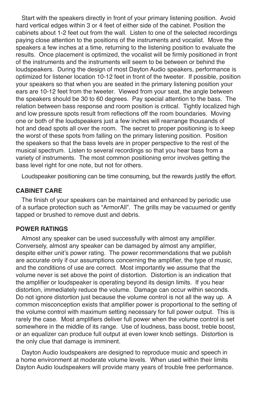Start with the speakers directly in front of your primary listening position. Avoid hard vertical edges within 3 or 4 feet of either side of the cabinet. Position the cabinets about 1-2 feet out from the wall. Listen to one of the selected recordings paying close attention to the positions of the instruments and vocalist. Move the speakers a few inches at a time, returning to the listening position to evaluate the results. Once placement is optimized, the vocalist will be firmly positioned in front of the instruments and the instruments will seem to be between or behind the loudspeakers. During the design of most Dayton Audio speakers, performance is optimized for listener location 10-12 feet in front of the tweeter. If possible, position your speakers so that when you are seated in the primary listening position your ears are 10-12 feet from the tweeter. Viewed from your seat, the angle between the speakers should be 30 to 60 degrees. Pay special attention to the bass. The relation between bass response and room position is critical. Tightly localized high and low pressure spots result from reflections off the room boundaries. Moving one or both of the loudspeakers just a few inches will rearrange thousands of hot and dead spots all over the room. The secret to proper positioning is to keep the worst of these spots from falling on the primary listening position. Position the speakers so that the bass levels are in proper perspective to the rest of the musical spectrum. Listen to several recordings so that you hear bass from a variety of instruments. The most common positioning error involves getting the bass level right for one note, but not for others.

Loudspeaker positioning can be time consuming, but the rewards justify the effort.

#### **CABINET CARE**

The finish of your speakers can be maintained and enhanced by periodic use of a surface protection such as "ArmorAll". The grills may be vacuumed or gently tapped or brushed to remove dust and debris.

#### **POWER RATINGS**

Almost any speaker can be used successfully with almost any amplifier. Conversely, almost any speaker can be damaged by almost any amplifier, despite either unit's power rating. The power recommendations that we publish are accurate only if our assumptions concerning the amplifier, the type of music, and the conditions of use are correct. Most importantly we assume that the volume never is set above the point of distortion. Distortion is an indication that the amplifier or loudspeaker is operating beyond its design limits. If you hear distortion, immediately reduce the volume. Damage can occur within seconds. Do not ignore distortion just because the volume control is not all the way up. A common misconception exists that amplifier power is proportional to the setting of the volume control with maximum setting necessary for full power output. This is rarely the case. Most amplifiers deliver full power when the volume control is set somewhere in the middle of its range. Use of loudness, bass boost, treble boost, or an equalizer can produce full output at even lower knob settings. Distortion is the only clue that damage is imminent.

Dayton Audio loudspeakers are designed to reproduce music and speech in a home environment at moderate volume levels. When used within their limits Dayton Audio loudspeakers will provide many years of trouble free performance.